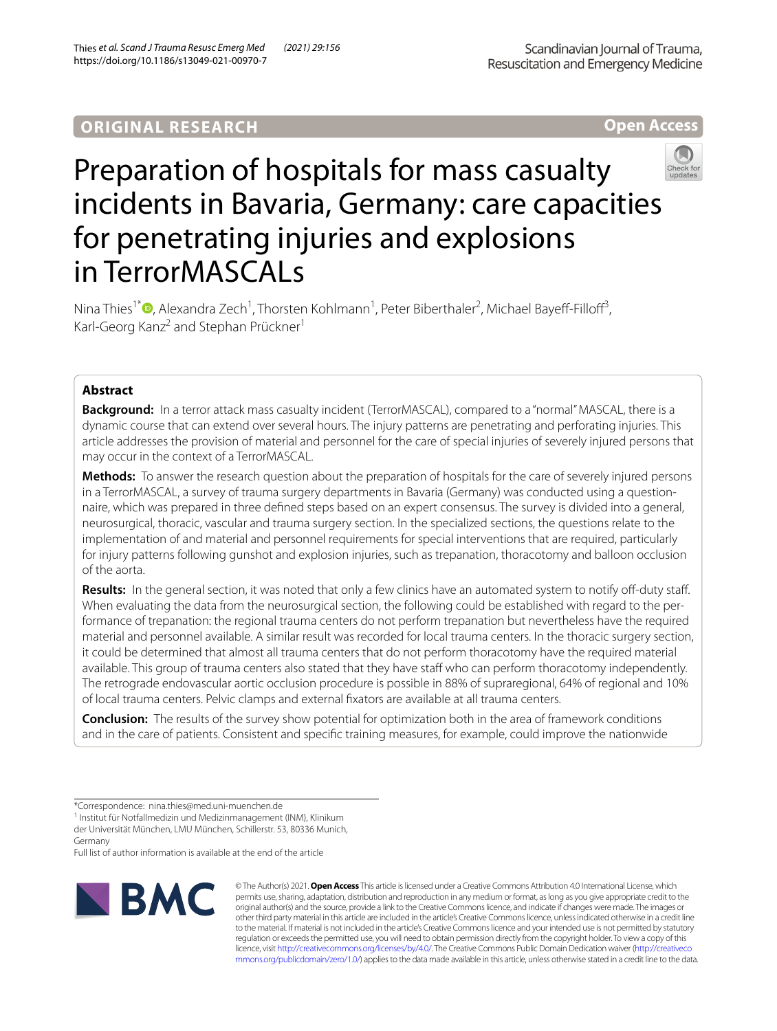# **ORIGINAL RESEARCH**

**Open Access**

# Preparation of hospitals for mass casualty incidents in Bavaria, Germany: care capacities for penetrating injuries and explosions in TerrorMASCALs

Nina Thies<sup>1\*</sup><sup>O</sup>[,](http://orcid.org/0000-0002-6714-9497) Alexandra Zech<sup>1</sup>, Thorsten Kohlmann<sup>1</sup>, Peter Biberthaler<sup>2</sup>, Michael Bayeff-Filloff<sup>3</sup>, Karl-Georg Kanz<sup>2</sup> and Stephan Prückner<sup>1</sup>

# **Abstract**

**Background:** In a terror attack mass casualty incident (TerrorMASCAL), compared to a "normal" MASCAL, there is a dynamic course that can extend over several hours. The injury patterns are penetrating and perforating injuries. This article addresses the provision of material and personnel for the care of special injuries of severely injured persons that may occur in the context of a TerrorMASCAL.

**Methods:** To answer the research question about the preparation of hospitals for the care of severely injured persons in a TerrorMASCAL, a survey of trauma surgery departments in Bavaria (Germany) was conducted using a questionnaire, which was prepared in three defned steps based on an expert consensus. The survey is divided into a general, neurosurgical, thoracic, vascular and trauma surgery section. In the specialized sections, the questions relate to the implementation of and material and personnel requirements for special interventions that are required, particularly for injury patterns following gunshot and explosion injuries, such as trepanation, thoracotomy and balloon occlusion of the aorta.

Results: In the general section, it was noted that only a few clinics have an automated system to notify off-duty staff. When evaluating the data from the neurosurgical section, the following could be established with regard to the performance of trepanation: the regional trauma centers do not perform trepanation but nevertheless have the required material and personnel available. A similar result was recorded for local trauma centers. In the thoracic surgery section, it could be determined that almost all trauma centers that do not perform thoracotomy have the required material available. This group of trauma centers also stated that they have staff who can perform thoracotomy independently. The retrograde endovascular aortic occlusion procedure is possible in 88% of supraregional, 64% of regional and 10% of local trauma centers. Pelvic clamps and external fxators are available at all trauma centers.

**Conclusion:** The results of the survey show potential for optimization both in the area of framework conditions and in the care of patients. Consistent and specifc training measures, for example, could improve the nationwide

<sup>1</sup> Institut für Notfallmedizin und Medizinmanagement (INM), Klinikum der Universität München, LMU München, Schillerstr. 53, 80336 Munich, Germany

Full list of author information is available at the end of the article



© The Author(s) 2021. **Open Access** This article is licensed under a Creative Commons Attribution 4.0 International License, which permits use, sharing, adaptation, distribution and reproduction in any medium or format, as long as you give appropriate credit to the original author(s) and the source, provide a link to the Creative Commons licence, and indicate if changes were made. The images or other third party material in this article are included in the article's Creative Commons licence, unless indicated otherwise in a credit line to the material. If material is not included in the article's Creative Commons licence and your intended use is not permitted by statutory regulation or exceeds the permitted use, you will need to obtain permission directly from the copyright holder. To view a copy of this licence, visit [http://creativecommons.org/licenses/by/4.0/.](http://creativecommons.org/licenses/by/4.0/) The Creative Commons Public Domain Dedication waiver ([http://creativeco](http://creativecommons.org/publicdomain/zero/1.0/) [mmons.org/publicdomain/zero/1.0/](http://creativecommons.org/publicdomain/zero/1.0/)) applies to the data made available in this article, unless otherwise stated in a credit line to the data.

<sup>\*</sup>Correspondence: nina.thies@med.uni-muenchen.de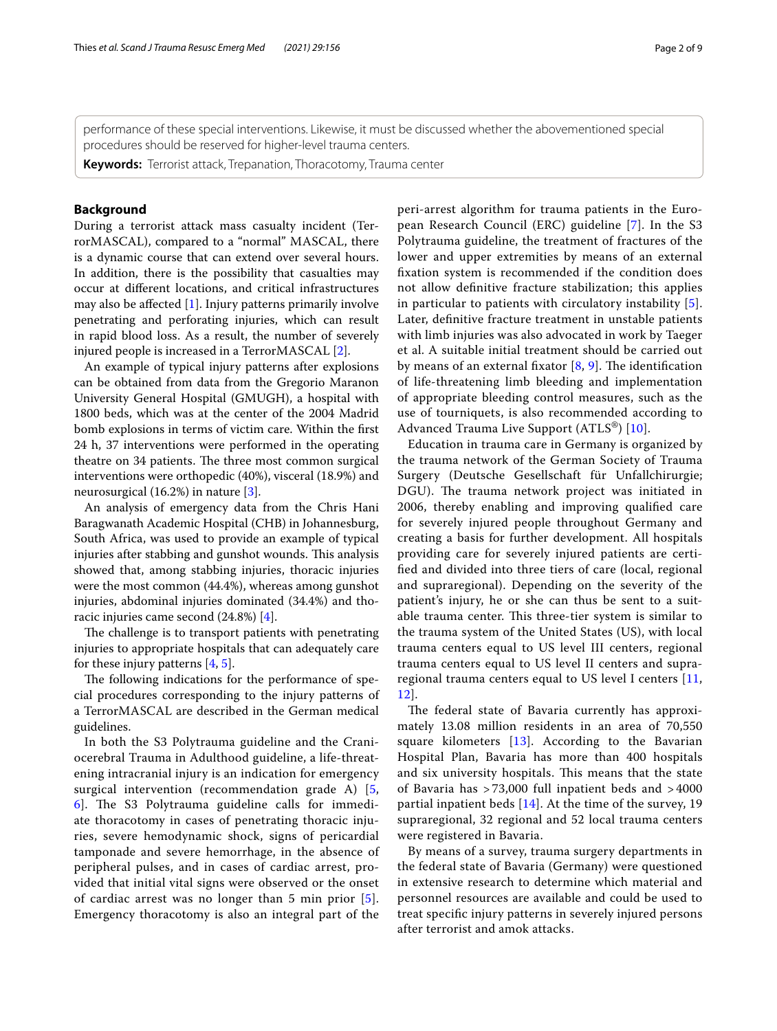performance of these special interventions. Likewise, it must be discussed whether the abovementioned special procedures should be reserved for higher-level trauma centers.

**Keywords:** Terrorist attack, Trepanation, Thoracotomy, Trauma center

# **Background**

During a terrorist attack mass casualty incident (TerrorMASCAL), compared to a "normal" MASCAL, there is a dynamic course that can extend over several hours. In addition, there is the possibility that casualties may occur at diferent locations, and critical infrastructures may also be afected [[1\]](#page-7-0). Injury patterns primarily involve penetrating and perforating injuries, which can result in rapid blood loss. As a result, the number of severely injured people is increased in a TerrorMASCAL [\[2](#page-7-1)].

An example of typical injury patterns after explosions can be obtained from data from the Gregorio Maranon University General Hospital (GMUGH), a hospital with 1800 beds, which was at the center of the 2004 Madrid bomb explosions in terms of victim care. Within the frst 24 h, 37 interventions were performed in the operating theatre on 34 patients. The three most common surgical interventions were orthopedic (40%), visceral (18.9%) and neurosurgical (16.2%) in nature [[3\]](#page-7-2).

An analysis of emergency data from the Chris Hani Baragwanath Academic Hospital (CHB) in Johannesburg, South Africa, was used to provide an example of typical injuries after stabbing and gunshot wounds. This analysis showed that, among stabbing injuries, thoracic injuries were the most common (44.4%), whereas among gunshot injuries, abdominal injuries dominated (34.4%) and thoracic injuries came second (24.8%) [\[4](#page-7-3)].

The challenge is to transport patients with penetrating injuries to appropriate hospitals that can adequately care for these injury patterns  $[4, 5]$  $[4, 5]$  $[4, 5]$ .

The following indications for the performance of special procedures corresponding to the injury patterns of a TerrorMASCAL are described in the German medical guidelines.

In both the S3 Polytrauma guideline and the Craniocerebral Trauma in Adulthood guideline, a life-threatening intracranial injury is an indication for emergency surgical intervention (recommendation grade A) [\[5](#page-7-4),  $6$ ]. The S3 Polytrauma guideline calls for immediate thoracotomy in cases of penetrating thoracic injuries, severe hemodynamic shock, signs of pericardial tamponade and severe hemorrhage, in the absence of peripheral pulses, and in cases of cardiac arrest, provided that initial vital signs were observed or the onset of cardiac arrest was no longer than 5 min prior [[5\]](#page-7-4). Emergency thoracotomy is also an integral part of the peri-arrest algorithm for trauma patients in the European Research Council (ERC) guideline [[7\]](#page-7-6). In the S3 Polytrauma guideline, the treatment of fractures of the lower and upper extremities by means of an external fxation system is recommended if the condition does not allow defnitive fracture stabilization; this applies in particular to patients with circulatory instability [[5](#page-7-4)]. Later, defnitive fracture treatment in unstable patients with limb injuries was also advocated in work by Taeger et al. A suitable initial treatment should be carried out by means of an external fixator  $[8, 9]$  $[8, 9]$  $[8, 9]$  $[8, 9]$  $[8, 9]$ . The identification of life-threatening limb bleeding and implementation of appropriate bleeding control measures, such as the use of tourniquets, is also recommended according to Advanced Trauma Live Support (ATLS®) [\[10](#page-7-9)].

Education in trauma care in Germany is organized by the trauma network of the German Society of Trauma Surgery (Deutsche Gesellschaft für Unfallchirurgie; DGU). The trauma network project was initiated in 2006, thereby enabling and improving qualifed care for severely injured people throughout Germany and creating a basis for further development. All hospitals providing care for severely injured patients are certifed and divided into three tiers of care (local, regional and supraregional). Depending on the severity of the patient's injury, he or she can thus be sent to a suitable trauma center. This three-tier system is similar to the trauma system of the United States (US), with local trauma centers equal to US level III centers, regional trauma centers equal to US level II centers and supraregional trauma centers equal to US level I centers [\[11](#page-7-10), [12\]](#page-7-11).

The federal state of Bavaria currently has approximately 13.08 million residents in an area of 70,550 square kilometers  $[13]$  $[13]$ . According to the Bavarian Hospital Plan, Bavaria has more than 400 hospitals and six university hospitals. This means that the state of Bavaria has > 73,000 full inpatient beds and > 4000 partial inpatient beds  $[14]$  $[14]$ . At the time of the survey, 19 supraregional, 32 regional and 52 local trauma centers were registered in Bavaria.

By means of a survey, trauma surgery departments in the federal state of Bavaria (Germany) were questioned in extensive research to determine which material and personnel resources are available and could be used to treat specifc injury patterns in severely injured persons after terrorist and amok attacks.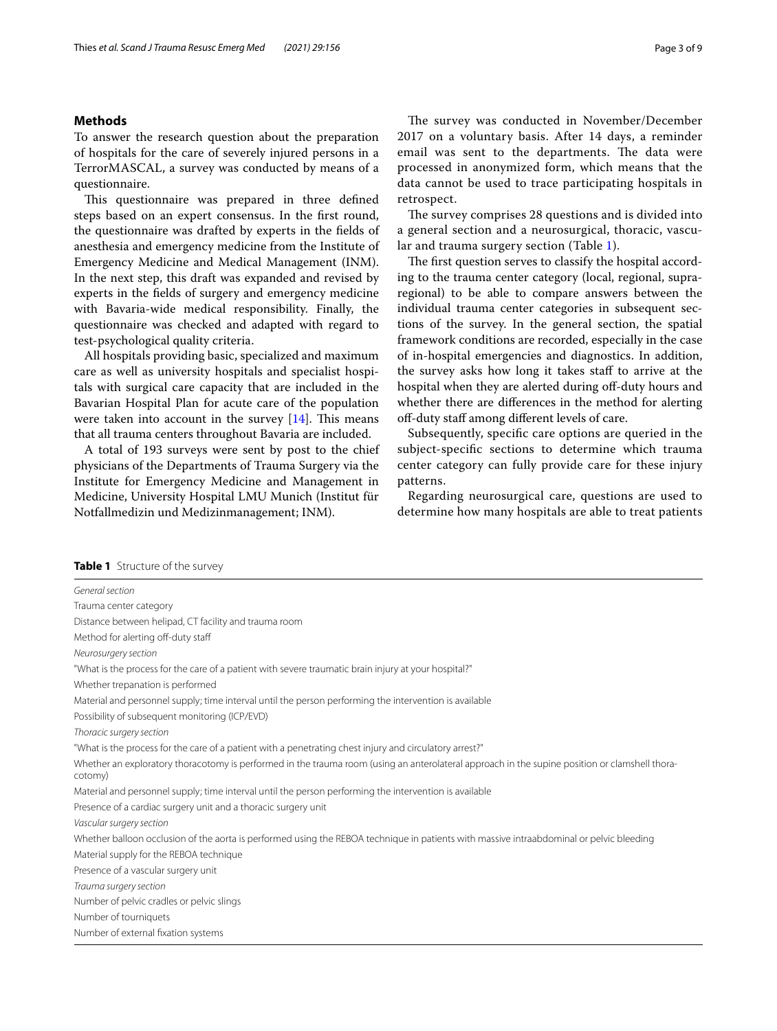# **Methods**

To answer the research question about the preparation of hospitals for the care of severely injured persons in a TerrorMASCAL, a survey was conducted by means of a questionnaire.

This questionnaire was prepared in three defined steps based on an expert consensus. In the frst round, the questionnaire was drafted by experts in the felds of anesthesia and emergency medicine from the Institute of Emergency Medicine and Medical Management (INM). In the next step, this draft was expanded and revised by experts in the felds of surgery and emergency medicine with Bavaria-wide medical responsibility. Finally, the questionnaire was checked and adapted with regard to test-psychological quality criteria.

All hospitals providing basic, specialized and maximum care as well as university hospitals and specialist hospitals with surgical care capacity that are included in the Bavarian Hospital Plan for acute care of the population were taken into account in the survey  $[14]$ . This means that all trauma centers throughout Bavaria are included.

A total of 193 surveys were sent by post to the chief physicians of the Departments of Trauma Surgery via the Institute for Emergency Medicine and Management in Medicine, University Hospital LMU Munich (Institut für Notfallmedizin und Medizinmanagement; INM).

The survey was conducted in November/December 2017 on a voluntary basis. After 14 days, a reminder email was sent to the departments. The data were processed in anonymized form, which means that the data cannot be used to trace participating hospitals in retrospect.

The survey comprises 28 questions and is divided into a general section and a neurosurgical, thoracic, vascular and trauma surgery section (Table [1\)](#page-2-0).

The first question serves to classify the hospital according to the trauma center category (local, regional, supraregional) to be able to compare answers between the individual trauma center categories in subsequent sections of the survey. In the general section, the spatial framework conditions are recorded, especially in the case of in-hospital emergencies and diagnostics. In addition, the survey asks how long it takes staff to arrive at the hospital when they are alerted during off-duty hours and whether there are diferences in the method for alerting off-duty staff among different levels of care.

Subsequently, specifc care options are queried in the subject-specifc sections to determine which trauma center category can fully provide care for these injury patterns.

Regarding neurosurgical care, questions are used to determine how many hospitals are able to treat patients

<span id="page-2-0"></span>

| General section                                                                                                                                           |
|-----------------------------------------------------------------------------------------------------------------------------------------------------------|
| Trauma center category                                                                                                                                    |
| Distance between helipad, CT facility and trauma room                                                                                                     |
| Method for alerting off-duty staff                                                                                                                        |
| Neurosurgery section                                                                                                                                      |
| "What is the process for the care of a patient with severe traumatic brain injury at your hospital?"                                                      |
| Whether trepanation is performed                                                                                                                          |
| Material and personnel supply; time interval until the person performing the intervention is available                                                    |
| Possibility of subsequent monitoring (ICP/EVD)                                                                                                            |
| Thoracic surgery section                                                                                                                                  |
| "What is the process for the care of a patient with a penetrating chest injury and circulatory arrest?"                                                   |
| Whether an exploratory thoracotomy is performed in the trauma room (using an anterolateral approach in the supine position or clamshell thora-<br>cotomy) |
| Material and personnel supply; time interval until the person performing the intervention is available                                                    |
| Presence of a cardiac surgery unit and a thoracic surgery unit                                                                                            |
| Vascular surgery section                                                                                                                                  |
| Whether balloon occlusion of the aorta is performed using the REBOA technique in patients with massive intraabdominal or pelvic bleeding                  |
| Material supply for the REBOA technique                                                                                                                   |
| Presence of a vascular surgery unit                                                                                                                       |
| Trauma surgery section                                                                                                                                    |
| Number of pelvic cradles or pelvic slings                                                                                                                 |
| Number of tourniquets                                                                                                                                     |
| Number of external fixation systems                                                                                                                       |
|                                                                                                                                                           |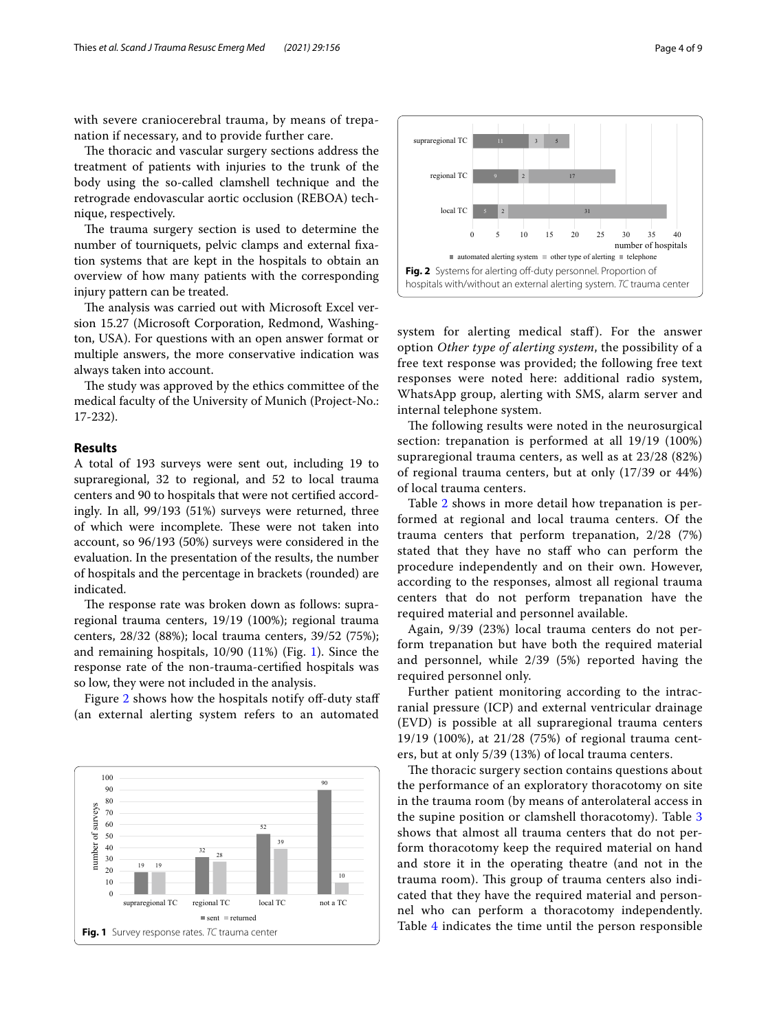with severe craniocerebral trauma, by means of trepanation if necessary, and to provide further care.

The thoracic and vascular surgery sections address the treatment of patients with injuries to the trunk of the body using the so-called clamshell technique and the retrograde endovascular aortic occlusion (REBOA) technique, respectively.

The trauma surgery section is used to determine the number of tourniquets, pelvic clamps and external fxation systems that are kept in the hospitals to obtain an overview of how many patients with the corresponding injury pattern can be treated.

The analysis was carried out with Microsoft Excel version 15.27 (Microsoft Corporation, Redmond, Washington, USA). For questions with an open answer format or multiple answers, the more conservative indication was always taken into account.

The study was approved by the ethics committee of the medical faculty of the University of Munich (Project-No.: 17-232).

# **Results**

A total of 193 surveys were sent out, including 19 to supraregional, 32 to regional, and 52 to local trauma centers and 90 to hospitals that were not certifed accordingly. In all, 99/193 (51%) surveys were returned, three of which were incomplete. These were not taken into account, so 96/193 (50%) surveys were considered in the evaluation. In the presentation of the results, the number of hospitals and the percentage in brackets (rounded) are indicated.

The response rate was broken down as follows: supraregional trauma centers, 19/19 (100%); regional trauma centers, 28/32 (88%); local trauma centers, 39/52 (75%); and remaining hospitals, 10/90 (11%) (Fig. [1](#page-3-0)). Since the response rate of the non-trauma-certifed hospitals was so low, they were not included in the analysis.

Figure [2](#page-3-1) shows how the hospitals notify off-duty staff (an external alerting system refers to an automated

<span id="page-3-0"></span>



<span id="page-3-1"></span>system for alerting medical staff). For the answer option *Other type of alerting system*, the possibility of a free text response was provided; the following free text responses were noted here: additional radio system, WhatsApp group, alerting with SMS, alarm server and internal telephone system.

The following results were noted in the neurosurgical section: trepanation is performed at all 19/19 (100%) supraregional trauma centers, as well as at 23/28 (82%) of regional trauma centers, but at only (17/39 or 44%) of local trauma centers.

Table [2](#page-4-0) shows in more detail how trepanation is performed at regional and local trauma centers. Of the trauma centers that perform trepanation, 2/28 (7%) stated that they have no staff who can perform the procedure independently and on their own. However, according to the responses, almost all regional trauma centers that do not perform trepanation have the required material and personnel available.

Again, 9/39 (23%) local trauma centers do not perform trepanation but have both the required material and personnel, while 2/39 (5%) reported having the required personnel only.

Further patient monitoring according to the intracranial pressure (ICP) and external ventricular drainage (EVD) is possible at all supraregional trauma centers 19/19 (100%), at 21/28 (75%) of regional trauma centers, but at only 5/39 (13%) of local trauma centers.

The thoracic surgery section contains questions about the performance of an exploratory thoracotomy on site in the trauma room (by means of anterolateral access in the supine position or clamshell thoracotomy). Table [3](#page-4-1) shows that almost all trauma centers that do not perform thoracotomy keep the required material on hand and store it in the operating theatre (and not in the trauma room). This group of trauma centers also indicated that they have the required material and personnel who can perform a thoracotomy independently. Table [4](#page-5-0) indicates the time until the person responsible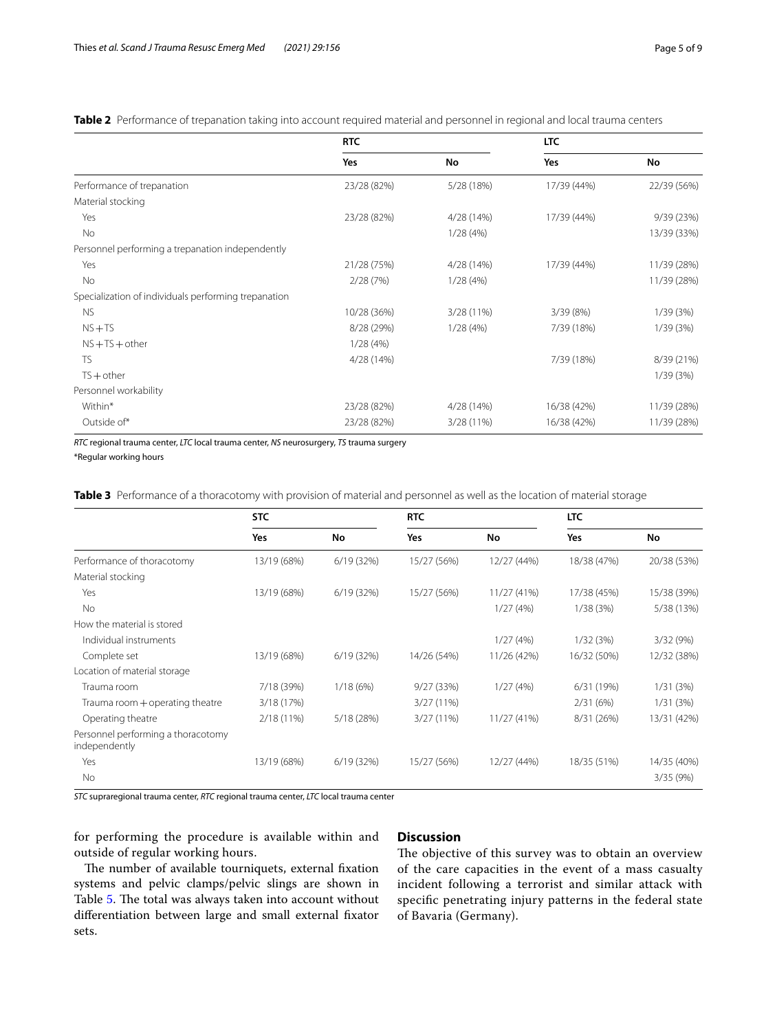<span id="page-4-0"></span>**Table 2** Performance of trepanation taking into account required material and personnel in regional and local trauma centers

|                                                      | <b>RTC</b>  |            | <b>LTC</b>  |             |
|------------------------------------------------------|-------------|------------|-------------|-------------|
|                                                      | <b>Yes</b>  | No         | Yes         | No          |
| Performance of trepanation                           | 23/28 (82%) | 5/28 (18%) | 17/39 (44%) | 22/39 (56%) |
| Material stocking                                    |             |            |             |             |
| Yes                                                  | 23/28 (82%) | 4/28 (14%) | 17/39 (44%) | 9/39 (23%)  |
| No                                                   |             | 1/28(4%)   |             | 13/39 (33%) |
| Personnel performing a trepanation independently     |             |            |             |             |
| Yes                                                  | 21/28 (75%) | 4/28 (14%) | 17/39 (44%) | 11/39 (28%) |
| No                                                   | 2/28(7%)    | 1/28(4%)   |             | 11/39 (28%) |
| Specialization of individuals performing trepanation |             |            |             |             |
| <b>NS</b>                                            | 10/28 (36%) | 3/28 (11%) | 3/39(8%)    | 1/39 (3%)   |
| $NS + TS$                                            | 8/28 (29%)  | 1/28(4%)   | 7/39 (18%)  | 1/39(3%)    |
| $NS + TS + other$                                    | 1/28(4%)    |            |             |             |
| <b>TS</b>                                            | 4/28 (14%)  |            | 7/39 (18%)  | 8/39 (21%)  |
| $TS + other$                                         |             |            |             | 1/39(3%)    |
| Personnel workability                                |             |            |             |             |
| Within*                                              | 23/28 (82%) | 4/28 (14%) | 16/38 (42%) | 11/39 (28%) |
| Outside of*                                          | 23/28 (82%) | 3/28 (11%) | 16/38 (42%) | 11/39 (28%) |

*RTC* regional trauma center, *LTC* local trauma center, *NS* neurosurgery, *TS* trauma surgery

\*Regular working hours

<span id="page-4-1"></span>**Table 3** Performance of a thoracotomy with provision of material and personnel as well as the location of material storage

|                                                     | <b>STC</b><br><b>RTC</b> |            |              |             | <b>LTC</b>  |             |
|-----------------------------------------------------|--------------------------|------------|--------------|-------------|-------------|-------------|
|                                                     | Yes                      | No         | Yes          | No          | Yes         | No          |
| Performance of thoracotomy                          | 13/19 (68%)              | 6/19(32%)  | 15/27 (56%)  | 12/27 (44%) | 18/38 (47%) | 20/38 (53%) |
| Material stocking                                   |                          |            |              |             |             |             |
| Yes                                                 | 13/19 (68%)              | 6/19(32%)  | 15/27 (56%)  | 11/27 (41%) | 17/38 (45%) | 15/38 (39%) |
| <b>No</b>                                           |                          |            |              | 1/27(4%)    | 1/38(3%)    | 5/38 (13%)  |
| How the material is stored                          |                          |            |              |             |             |             |
| Individual instruments                              |                          |            |              | 1/27(4%)    | 1/32(3%)    | 3/32(9%)    |
| Complete set                                        | 13/19 (68%)              | 6/19(32%)  | 14/26 (54%)  | 11/26 (42%) | 16/32 (50%) | 12/32 (38%) |
| Location of material storage                        |                          |            |              |             |             |             |
| Trauma room                                         | 7/18 (39%)               | 1/18(6%)   | 9/27(33%)    | 1/27(4%)    | 6/31(19%)   | 1/31(3%)    |
| Trauma room + operating theatre                     | 3/18 (17%)               |            | $3/27(11\%)$ |             | 2/31(6%)    | 1/31(3%)    |
| Operating theatre                                   | $2/18(11\%)$             | 5/18 (28%) | 3/27(11%)    | 11/27 (41%) | 8/31 (26%)  | 13/31 (42%) |
| Personnel performing a thoracotomy<br>independently |                          |            |              |             |             |             |
| Yes                                                 | 13/19 (68%)              | 6/19(32%)  | 15/27 (56%)  | 12/27 (44%) | 18/35 (51%) | 14/35 (40%) |
| No                                                  |                          |            |              |             |             | 3/35 (9%)   |

*STC* supraregional trauma center, *RTC* regional trauma center, *LTC* local trauma center

for performing the procedure is available within and outside of regular working hours.

# **Discussion**

The number of available tourniquets, external fixation systems and pelvic clamps/pelvic slings are shown in Table [5.](#page-5-1) The total was always taken into account without diferentiation between large and small external fxator sets.

The objective of this survey was to obtain an overview of the care capacities in the event of a mass casualty incident following a terrorist and similar attack with specifc penetrating injury patterns in the federal state of Bavaria (Germany).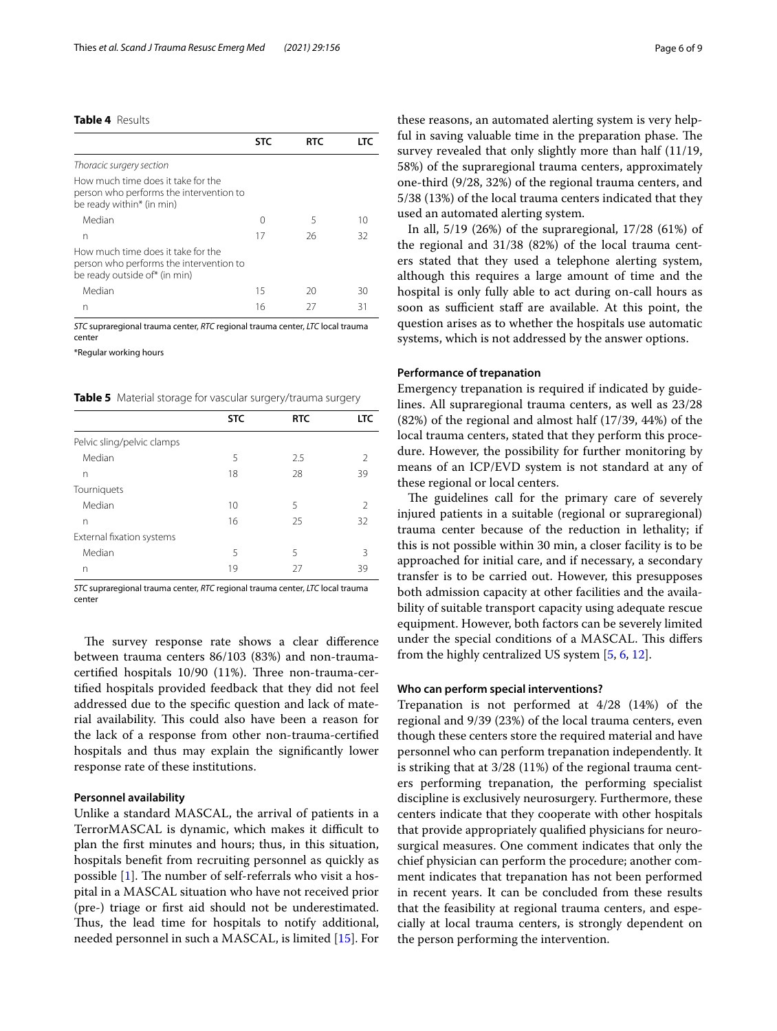# <span id="page-5-0"></span>**Table 4** Results

|                                                                                                                | <b>STC</b> | <b>RTC</b> | і т $\epsilon$ |
|----------------------------------------------------------------------------------------------------------------|------------|------------|----------------|
| Thoracic surgery section                                                                                       |            |            |                |
| How much time does it take for the<br>person who performs the intervention to<br>be ready within* (in min)     |            |            |                |
| Median                                                                                                         | Ω          | 5          | 10             |
| n                                                                                                              | 17         | 26         | 32             |
| How much time does it take for the<br>person who performs the intervention to<br>be ready outside of* (in min) |            |            |                |
| Median                                                                                                         | 15         | 20         | 30             |
| n                                                                                                              | 16         | 27         | 31             |

*STC* supraregional trauma center, *RTC* regional trauma center, *LTC* local trauma center

\*Regular working hours

<span id="page-5-1"></span>**Table 5** Material storage for vascular surgery/trauma surgery

|                            | <b>STC</b> | <b>RTC</b> | LTC           |
|----------------------------|------------|------------|---------------|
| Pelvic sling/pelvic clamps |            |            |               |
| Median                     | 5          | 2.5        | $\mathcal{P}$ |
| n                          | 18         | 28         | 39            |
| Tourniquets                |            |            |               |
| Median                     | 10         | 5          | $\mathcal{P}$ |
| n                          | 16         | 25         | 32            |
| External fixation systems  |            |            |               |
| Median                     | 5          | 5          | 3             |
| n                          | 19         | 27         | 39            |
|                            |            |            |               |

*STC* supraregional trauma center, *RTC* regional trauma center, *LTC* local trauma center

The survey response rate shows a clear difference between trauma centers 86/103 (83%) and non-traumacertified hospitals 10/90 (11%). Three non-trauma-certifed hospitals provided feedback that they did not feel addressed due to the specifc question and lack of material availability. This could also have been a reason for the lack of a response from other non-trauma-certifed hospitals and thus may explain the signifcantly lower response rate of these institutions.

# **Personnel availability**

Unlike a standard MASCAL, the arrival of patients in a TerrorMASCAL is dynamic, which makes it difficult to plan the frst minutes and hours; thus, in this situation, hospitals beneft from recruiting personnel as quickly as possible  $[1]$  $[1]$ . The number of self-referrals who visit a hospital in a MASCAL situation who have not received prior (pre-) triage or frst aid should not be underestimated. Thus, the lead time for hospitals to notify additional, needed personnel in such a MASCAL, is limited [\[15](#page-7-14)]. For these reasons, an automated alerting system is very helpful in saving valuable time in the preparation phase. The survey revealed that only slightly more than half (11/19, 58%) of the supraregional trauma centers, approximately one-third (9/28, 32%) of the regional trauma centers, and 5/38 (13%) of the local trauma centers indicated that they used an automated alerting system.

In all, 5/19 (26%) of the supraregional, 17/28 (61%) of the regional and 31/38 (82%) of the local trauma centers stated that they used a telephone alerting system, although this requires a large amount of time and the hospital is only fully able to act during on-call hours as soon as sufficient staff are available. At this point, the question arises as to whether the hospitals use automatic systems, which is not addressed by the answer options.

## **Performance of trepanation**

Emergency trepanation is required if indicated by guidelines. All supraregional trauma centers, as well as 23/28 (82%) of the regional and almost half (17/39, 44%) of the local trauma centers, stated that they perform this procedure. However, the possibility for further monitoring by means of an ICP/EVD system is not standard at any of these regional or local centers.

The guidelines call for the primary care of severely injured patients in a suitable (regional or supraregional) trauma center because of the reduction in lethality; if this is not possible within 30 min, a closer facility is to be approached for initial care, and if necessary, a secondary transfer is to be carried out. However, this presupposes both admission capacity at other facilities and the availability of suitable transport capacity using adequate rescue equipment. However, both factors can be severely limited under the special conditions of a MASCAL. This differs from the highly centralized US system [[5,](#page-7-4) [6,](#page-7-5) [12](#page-7-11)].

## **Who can perform special interventions?**

Trepanation is not performed at 4/28 (14%) of the regional and 9/39 (23%) of the local trauma centers, even though these centers store the required material and have personnel who can perform trepanation independently. It is striking that at 3/28 (11%) of the regional trauma centers performing trepanation, the performing specialist discipline is exclusively neurosurgery. Furthermore, these centers indicate that they cooperate with other hospitals that provide appropriately qualifed physicians for neurosurgical measures. One comment indicates that only the chief physician can perform the procedure; another comment indicates that trepanation has not been performed in recent years. It can be concluded from these results that the feasibility at regional trauma centers, and especially at local trauma centers, is strongly dependent on the person performing the intervention.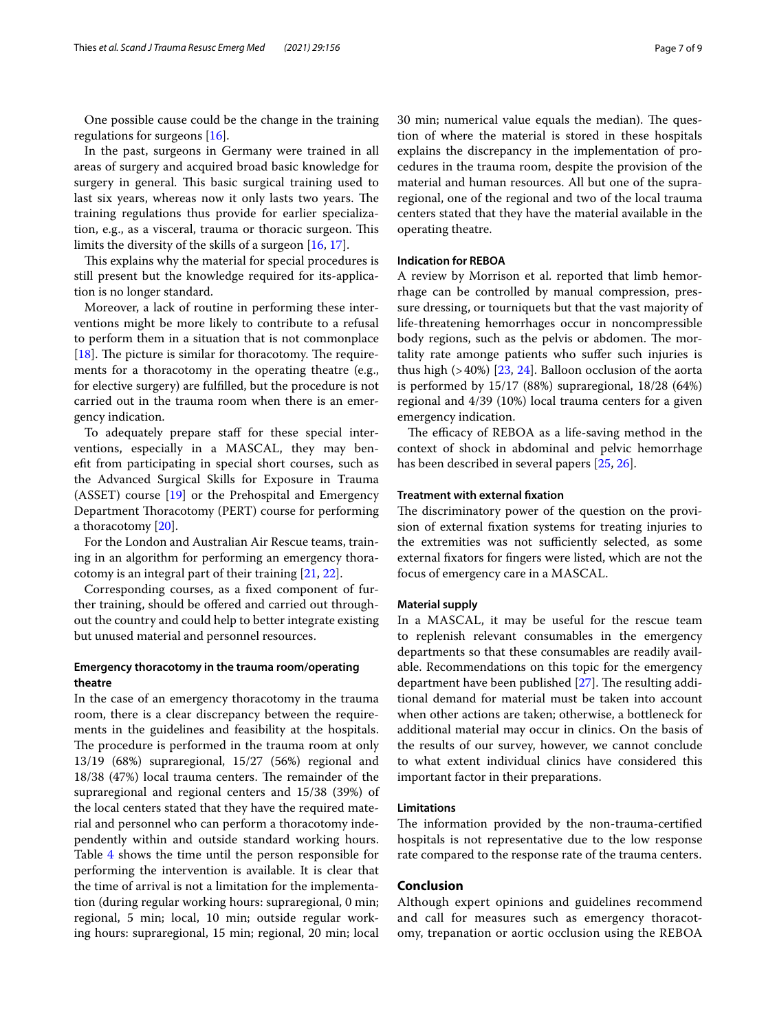One possible cause could be the change in the training regulations for surgeons [[16](#page-7-15)].

In the past, surgeons in Germany were trained in all areas of surgery and acquired broad basic knowledge for surgery in general. This basic surgical training used to last six years, whereas now it only lasts two years. The training regulations thus provide for earlier specialization, e.g., as a visceral, trauma or thoracic surgeon. This limits the diversity of the skills of a surgeon [\[16](#page-7-15), [17\]](#page-7-16).

This explains why the material for special procedures is still present but the knowledge required for its-application is no longer standard.

Moreover, a lack of routine in performing these interventions might be more likely to contribute to a refusal to perform them in a situation that is not commonplace [ $18$ ]. The picture is similar for thoracotomy. The requirements for a thoracotomy in the operating theatre (e.g., for elective surgery) are fulflled, but the procedure is not carried out in the trauma room when there is an emergency indication.

To adequately prepare staff for these special interventions, especially in a MASCAL, they may beneft from participating in special short courses, such as the Advanced Surgical Skills for Exposure in Trauma (ASSET) course [[19\]](#page-8-0) or the Prehospital and Emergency Department Thoracotomy (PERT) course for performing a thoracotomy [\[20](#page-8-1)].

For the London and Australian Air Rescue teams, training in an algorithm for performing an emergency thoracotomy is an integral part of their training [\[21](#page-8-2), [22](#page-8-3)].

Corresponding courses, as a fxed component of further training, should be ofered and carried out throughout the country and could help to better integrate existing but unused material and personnel resources.

# **Emergency thoracotomy in the trauma room/operating theatre**

In the case of an emergency thoracotomy in the trauma room, there is a clear discrepancy between the requirements in the guidelines and feasibility at the hospitals. The procedure is performed in the trauma room at only 13/19 (68%) supraregional, 15/27 (56%) regional and 18/38 (47%) local trauma centers. The remainder of the supraregional and regional centers and 15/38 (39%) of the local centers stated that they have the required material and personnel who can perform a thoracotomy independently within and outside standard working hours. Table [4](#page-5-0) shows the time until the person responsible for performing the intervention is available. It is clear that the time of arrival is not a limitation for the implementation (during regular working hours: supraregional, 0 min; regional, 5 min; local, 10 min; outside regular working hours: supraregional, 15 min; regional, 20 min; local 30 min; numerical value equals the median). The question of where the material is stored in these hospitals explains the discrepancy in the implementation of procedures in the trauma room, despite the provision of the material and human resources. All but one of the supraregional, one of the regional and two of the local trauma centers stated that they have the material available in the operating theatre.

# **Indication for REBOA**

A review by Morrison et al. reported that limb hemorrhage can be controlled by manual compression, pressure dressing, or tourniquets but that the vast majority of life-threatening hemorrhages occur in noncompressible body regions, such as the pelvis or abdomen. The mortality rate amonge patients who sufer such injuries is thus high  $(>40%)$  [[23,](#page-8-4) [24](#page-8-5)]. Balloon occlusion of the aorta is performed by 15/17 (88%) supraregional, 18/28 (64%) regional and 4/39 (10%) local trauma centers for a given emergency indication.

The efficacy of REBOA as a life-saving method in the context of shock in abdominal and pelvic hemorrhage has been described in several papers [[25](#page-8-6), [26\]](#page-8-7).

# **Treatment with external fxation**

The discriminatory power of the question on the provision of external fxation systems for treating injuries to the extremities was not sufficiently selected, as some external fxators for fngers were listed, which are not the focus of emergency care in a MASCAL.

#### **Material supply**

In a MASCAL, it may be useful for the rescue team to replenish relevant consumables in the emergency departments so that these consumables are readily available. Recommendations on this topic for the emergency department have been published  $[27]$  $[27]$ . The resulting additional demand for material must be taken into account when other actions are taken; otherwise, a bottleneck for additional material may occur in clinics. On the basis of the results of our survey, however, we cannot conclude to what extent individual clinics have considered this important factor in their preparations.

#### **Limitations**

The information provided by the non-trauma-certified hospitals is not representative due to the low response rate compared to the response rate of the trauma centers.

#### **Conclusion**

Although expert opinions and guidelines recommend and call for measures such as emergency thoracotomy, trepanation or aortic occlusion using the REBOA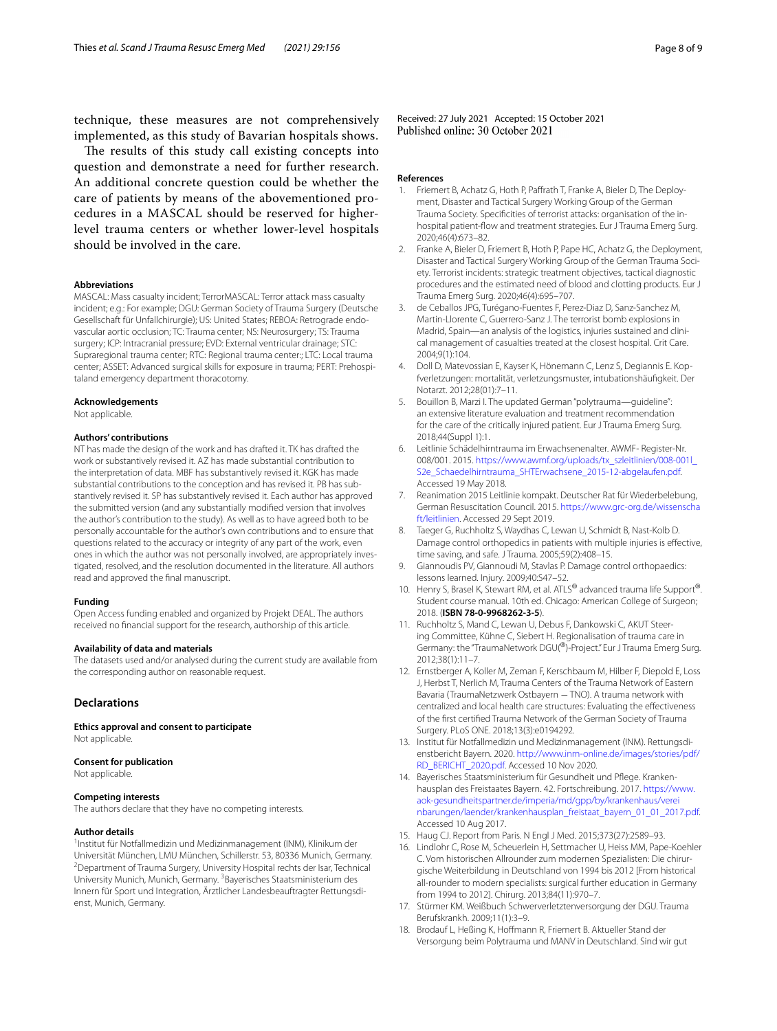technique, these measures are not comprehensively implemented, as this study of Bavarian hospitals shows.

The results of this study call existing concepts into question and demonstrate a need for further research. An additional concrete question could be whether the care of patients by means of the abovementioned procedures in a MASCAL should be reserved for higherlevel trauma centers or whether lower-level hospitals should be involved in the care.

#### **Abbreviations**

MASCAL: Mass casualty incident; TerrorMASCAL: Terror attack mass casualty incident; e.g.: For example; DGU: German Society of Trauma Surgery (Deutsche Gesellschaft für Unfallchirurgie); US: United States; REBOA: Retrograde endovascular aortic occlusion; TC: Trauma center; NS: Neurosurgery; TS: Trauma surgery; ICP: Intracranial pressure; EVD: External ventricular drainage; STC: Supraregional trauma center; RTC: Regional trauma center:; LTC: Local trauma center; ASSET: Advanced surgical skills for exposure in trauma; PERT: Prehospitaland emergency department thoracotomy.

#### **Acknowledgements**

Not applicable.

#### **Authors' contributions**

NT has made the design of the work and has drafted it. TK has drafted the work or substantively revised it. AZ has made substantial contribution to the interpretation of data. MBF has substantively revised it. KGK has made substantial contributions to the conception and has revised it. PB has substantively revised it. SP has substantively revised it. Each author has approved the submitted version (and any substantially modifed version that involves the author's contribution to the study). As well as to have agreed both to be personally accountable for the author's own contributions and to ensure that questions related to the accuracy or integrity of any part of the work, even ones in which the author was not personally involved, are appropriately investigated, resolved, and the resolution documented in the literature. All authors read and approved the fnal manuscript.

#### **Funding**

Open Access funding enabled and organized by Projekt DEAL. The authors received no fnancial support for the research, authorship of this article.

#### **Availability of data and materials**

The datasets used and/or analysed during the current study are available from the corresponding author on reasonable request.

# **Declarations**

**Ethics approval and consent to participate** Not applicable.

#### **Consent for publication**

Not applicable.

#### **Competing interests**

The authors declare that they have no competing interests.

#### **Author details**

<sup>1</sup>Institut für Notfallmedizin und Medizinmanagement (INM), Klinikum der Universität München, LMU München, Schillerstr. 53, 80336 Munich, Germany. 2 Department of Trauma Surgery, University Hospital rechts der Isar, Technical University Munich, Munich, Germany. <sup>3</sup>Bayerisches Staatsministerium des Innern für Sport und Integration, Ärztlicher Landesbeauftragter Rettungsdienst, Munich, Germany.

Received: 27 July 2021 Accepted: 15 October 2021<br>Published online: 30 October 2021

#### **References**

- <span id="page-7-0"></span>1. Friemert B, Achatz G, Hoth P, Paffrath T, Franke A, Bieler D, The Deployment, Disaster and Tactical Surgery Working Group of the German Trauma Society. Specifcities of terrorist attacks: organisation of the inhospital patient-fow and treatment strategies. Eur J Trauma Emerg Surg. 2020;46(4):673–82.
- <span id="page-7-1"></span>2. Franke A, Bieler D, Friemert B, Hoth P, Pape HC, Achatz G, the Deployment, Disaster and Tactical Surgery Working Group of the German Trauma Society. Terrorist incidents: strategic treatment objectives, tactical diagnostic procedures and the estimated need of blood and clotting products. Eur J Trauma Emerg Surg. 2020;46(4):695–707.
- <span id="page-7-2"></span>3. de Ceballos JPG, Turégano-Fuentes F, Perez-Diaz D, Sanz-Sanchez M, Martin-Llorente C, Guerrero-Sanz J. The terrorist bomb explosions in Madrid, Spain—an analysis of the logistics, injuries sustained and clinical management of casualties treated at the closest hospital. Crit Care. 2004;9(1):104.
- <span id="page-7-3"></span>4. Doll D, Matevossian E, Kayser K, Hönemann C, Lenz S, Degiannis E. Kopfverletzungen: mortalität, verletzungsmuster, intubationshäufgkeit. Der Notarzt. 2012;28(01):7–11.
- <span id="page-7-4"></span>5. Bouillon B, Marzi I. The updated German "polytrauma—guideline": an extensive literature evaluation and treatment recommendation for the care of the critically injured patient. Eur J Trauma Emerg Surg. 2018;44(Suppl 1):1.
- <span id="page-7-5"></span>6. Leitlinie Schädelhirntrauma im Erwachsenenalter. AWMF- Register-Nr. 008/001. 2015. [https://www.awmf.org/uploads/tx\\_szleitlinien/008-001l\\_](https://www.awmf.org/uploads/tx_szleitlinien/008-001l_S2e_Schaedelhirntrauma_SHTErwachsene_2015-12-abgelaufen.pdf) [S2e\\_Schaedelhirntrauma\\_SHTErwachsene\\_2015-12-abgelaufen.pdf.](https://www.awmf.org/uploads/tx_szleitlinien/008-001l_S2e_Schaedelhirntrauma_SHTErwachsene_2015-12-abgelaufen.pdf) Accessed 19 May 2018.
- <span id="page-7-6"></span>7. Reanimation 2015 Leitlinie kompakt. Deutscher Rat für Wiederbelebung, German Resuscitation Council. 2015. [https://www.grc-org.de/wissenscha](https://www.grc-org.de/wissenschaft/leitlinien) [ft/leitlinien](https://www.grc-org.de/wissenschaft/leitlinien). Accessed 29 Sept 2019.
- <span id="page-7-7"></span>8. Taeger G, Ruchholtz S, Waydhas C, Lewan U, Schmidt B, Nast-Kolb D. Damage control orthopedics in patients with multiple injuries is efective, time saving, and safe. J Trauma. 2005;59(2):408–15.
- <span id="page-7-8"></span>9. Giannoudis PV, Giannoudi M, Stavlas P. Damage control orthopaedics: lessons learned. Injury. 2009;40:S47–52.
- <span id="page-7-9"></span>10. Henry S, Brasel K, Stewart RM, et al. ATLS<sup>®</sup> advanced trauma life Support<sup>®</sup>. Student course manual. 10th ed. Chicago: American College of Surgeon; 2018. (**ISBN 78-0-9968262-3-5**).
- <span id="page-7-10"></span>11. Ruchholtz S, Mand C, Lewan U, Debus F, Dankowski C, AKUT Steering Committee, Kühne C, Siebert H. Regionalisation of trauma care in Germany: the "TraumaNetwork DGU(®)-Project." Eur J Trauma Emerg Surg. 2012;38(1):11–7.
- <span id="page-7-11"></span>12. Ernstberger A, Koller M, Zeman F, Kerschbaum M, Hilber F, Diepold E, Loss J, Herbst T, Nerlich M, Trauma Centers of the Trauma Network of Eastern Bavaria (TraumaNetzwerk Ostbayern − TNO). A trauma network with centralized and local health care structures: Evaluating the efectiveness of the frst certifed Trauma Network of the German Society of Trauma Surgery. PLoS ONE. 2018;13(3):e0194292.
- <span id="page-7-12"></span>13. Institut für Notfallmedizin und Medizinmanagement (INM). Rettungsdienstbericht Bayern. 2020. [http://www.inm-online.de/images/stories/pdf/](http://www.inm-online.de/images/stories/pdf/RD_BERICHT_2020.pdf) [RD\\_BERICHT\\_2020.pdf.](http://www.inm-online.de/images/stories/pdf/RD_BERICHT_2020.pdf) Accessed 10 Nov 2020.
- <span id="page-7-13"></span>14. Bayerisches Staatsministerium für Gesundheit und Pflege. Krankenhausplan des Freistaates Bayern. 42. Fortschreibung. 2017. [https://www.](https://www.aok-gesundheitspartner.de/imperia/md/gpp/by/krankenhaus/vereinbarungen/laender/krankenhausplan_freistaat_bayern_01_01_2017.pdf) [aok-gesundheitspartner.de/imperia/md/gpp/by/krankenhaus/verei](https://www.aok-gesundheitspartner.de/imperia/md/gpp/by/krankenhaus/vereinbarungen/laender/krankenhausplan_freistaat_bayern_01_01_2017.pdf) [nbarungen/laender/krankenhausplan\\_freistaat\\_bayern\\_01\\_01\\_2017.pdf.](https://www.aok-gesundheitspartner.de/imperia/md/gpp/by/krankenhaus/vereinbarungen/laender/krankenhausplan_freistaat_bayern_01_01_2017.pdf) Accessed 10 Aug 2017.
- <span id="page-7-14"></span>15. Haug CJ. Report from Paris. N Engl J Med. 2015;373(27):2589–93.
- <span id="page-7-15"></span>16. Lindlohr C, Rose M, Scheuerlein H, Settmacher U, Heiss MM, Pape-Koehler C. Vom historischen Allrounder zum modernen Spezialisten: Die chirurgische Weiterbildung in Deutschland von 1994 bis 2012 [From historical all-rounder to modern specialists: surgical further education in Germany from 1994 to 2012]. Chirurg. 2013;84(11):970–7.
- <span id="page-7-16"></span>17. Stürmer KM. Weißbuch Schwerverletztenversorgung der DGU. Trauma Berufskrankh. 2009;11(1):3–9.
- <span id="page-7-17"></span>18. Brodauf L, Heßing K, Hofmann R, Friemert B. Aktueller Stand der Versorgung beim Polytrauma und MANV in Deutschland. Sind wir gut